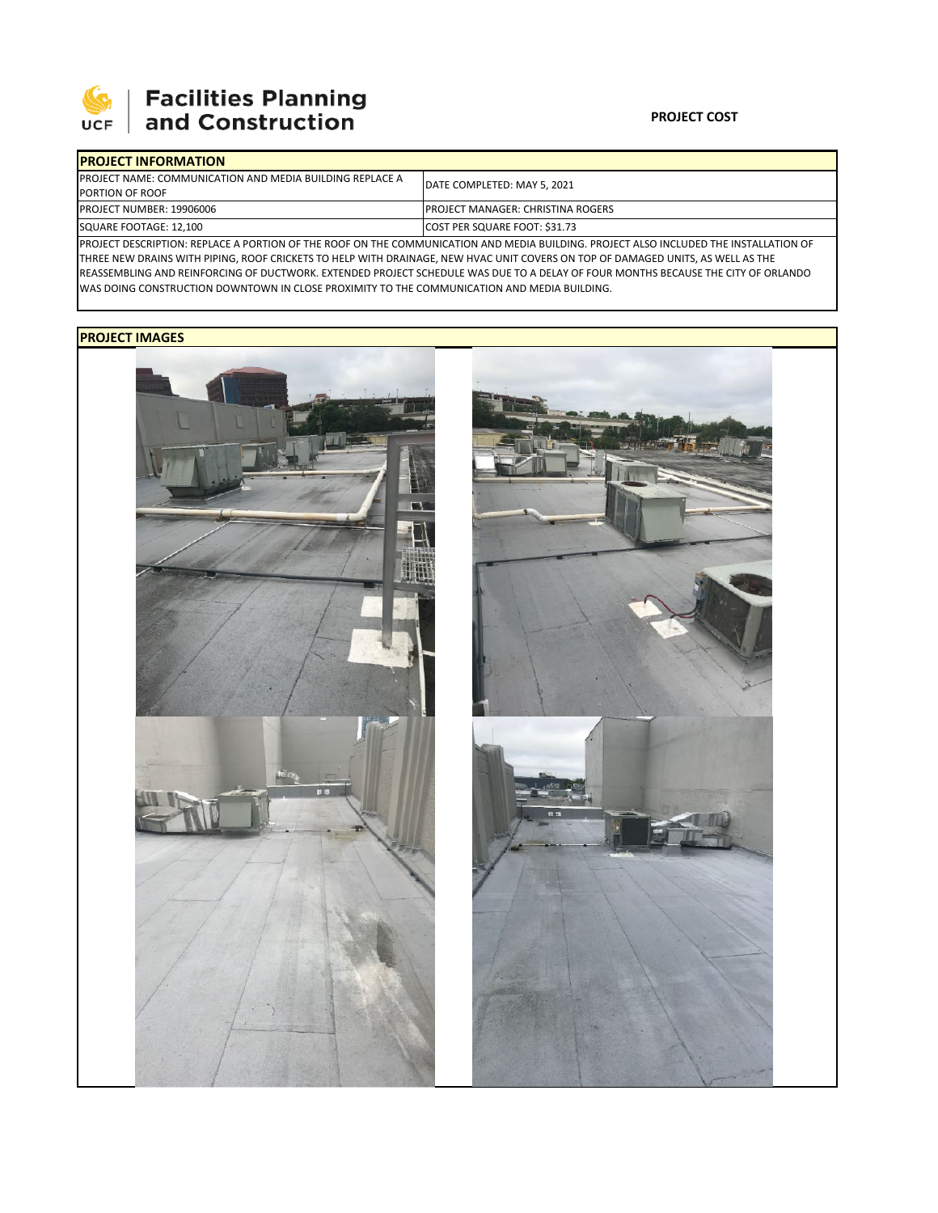

## **SEPTE AND Facilities Planning**<br>UCF and Construction

| <b>IPROJECT INFORMATION</b>                                      |                                                                                                                                       |  |  |  |
|------------------------------------------------------------------|---------------------------------------------------------------------------------------------------------------------------------------|--|--|--|
| <b>IPROJECT NAME: COMMUNICATION AND MEDIA BUILDING REPLACE A</b> | <b>IDATE COMPLETED: MAY 5, 2021</b>                                                                                                   |  |  |  |
| <b>PORTION OF ROOF</b>                                           |                                                                                                                                       |  |  |  |
| PROJECT NUMBER: 19906006                                         | <b>IPROJECT MANAGER: CHRISTINA ROGERS</b>                                                                                             |  |  |  |
| SQUARE FOOTAGE: 12,100                                           | COST PER SQUARE FOOT: \$31.73                                                                                                         |  |  |  |
|                                                                  | IPROJECT DESCRIPTION: REPLACE A PORTION OF THE ROOF ON THE COMMUNICATION AND MEDIA BUILDING PROJECT ALSO INCLUDED THE INSTALLATION OF |  |  |  |

PROJECT DESCRIPTION: REPLACE A PORTION OF THE ROOF ON THE COMMUNICATION AND MEDIA BUILDING. PROJECT ALSO INCLUDED THE INSTALLATION OF THREE NEW DRAINS WITH PIPING, ROOF CRICKETS TO HELP WITH DRAINAGE, NEW HVAC UNIT COVERS ON TOP OF DAMAGED UNITS, AS WELL AS THE REASSEMBLING AND REINFORCING OF DUCTWORK. EXTENDED PROJECT SCHEDULE WAS DUE TO A DELAY OF FOUR MONTHS BECAUSE THE CITY OF ORLANDO WAS DOING CONSTRUCTION DOWNTOWN IN CLOSE PROXIMITY TO THE COMMUNICATION AND MEDIA BUILDING.

## **PROJECT IMAGES**